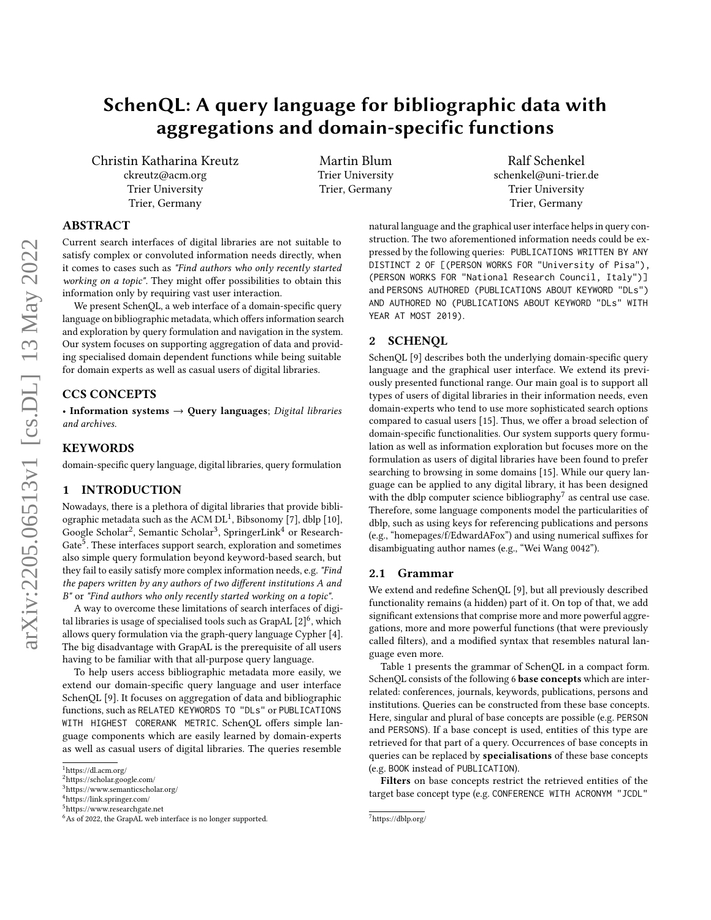# SchenQL: A query language for bibliographic data with aggregations and domain-specific functions

Christin Katharina Kreutz ckreutz@acm.org Trier University Trier, Germany

Martin Blum Trier University Trier, Germany

Ralf Schenkel schenkel@uni-trier.de Trier University Trier, Germany

# ABSTRACT

Current search interfaces of digital libraries are not suitable to satisfy complex or convoluted information needs directly, when it comes to cases such as "Find authors who only recently started working on a topic". They might offer possibilities to obtain this information only by requiring vast user interaction.

We present SchenQL, a web interface of a domain-specific query language on bibliographic metadata, which offers information search and exploration by query formulation and navigation in the system. Our system focuses on supporting aggregation of data and providing specialised domain dependent functions while being suitable for domain experts as well as casual users of digital libraries.

## CCS CONCEPTS

• Information systems  $\rightarrow$  Ouery languages; Digital libraries and archives.

# **KEYWORDS**

domain-specific query language, digital libraries, query formulation

### 1 INTRODUCTION

Nowadays, there is a plethora of digital libraries that provide bibliographic metadata such as the ACM  $DL<sup>1</sup>$  $DL<sup>1</sup>$  $DL<sup>1</sup>$ , Bibsonomy [\[7\]](#page-4-0), dblp [\[10\]](#page-4-1), Google Scholar<sup>[2](#page-0-1)</sup>, Semantic Scholar<sup>[3](#page-0-2)</sup>, SpringerLink<sup>[4](#page-0-3)</sup> or Research-Gate<sup>[5](#page-0-4)</sup>. These interfaces support search, exploration and sometimes also simple query formulation beyond keyword-based search, but they fail to easily satisfy more complex information needs, e.g. "Find the papers written by any authors of two different institutions A and B" or "Find authors who only recently started working on a topic".

A way to overcome these limitations of search interfaces of digital libraries is usage of specialised tools such as GrapAL  $\lbrack 2 \rbrack^6,$  $\lbrack 2 \rbrack^6,$  $\lbrack 2 \rbrack^6,$  which allows query formulation via the graph-query language Cypher [\[4\]](#page-4-2). The big disadvantage with GrapAL is the prerequisite of all users having to be familiar with that all-purpose query language.

To help users access bibliographic metadata more easily, we extend our domain-specific query language and user interface SchenQL [\[9\]](#page-4-3). It focuses on aggregation of data and bibliographic functions, such as RELATED KEYWORDS TO "DLs" or PUBLICATIONS WITH HIGHEST CORERANK METRIC. SchenQL offers simple language components which are easily learned by domain-experts as well as casual users of digital libraries. The queries resemble

natural language and the graphical user interface helps in query construction. The two aforementioned information needs could be expressed by the following queries: PUBLICATIONS WRITTEN BY ANY DISTINCT 2 OF [(PERSON WORKS FOR "University of Pisa"), (PERSON WORKS FOR "National Research Council, Italy")] and PERSONS AUTHORED (PUBLICATIONS ABOUT KEYWORD "DLs") AND AUTHORED NO (PUBLICATIONS ABOUT KEYWORD "DLs" WITH YEAR AT MOST 2019).

## 2 SCHENQL

SchenQL [\[9\]](#page-4-3) describes both the underlying domain-specific query language and the graphical user interface. We extend its previously presented functional range. Our main goal is to support all types of users of digital libraries in their information needs, even domain-experts who tend to use more sophisticated search options compared to casual users [\[15\]](#page-4-4). Thus, we offer a broad selection of domain-specific functionalities. Our system supports query formulation as well as information exploration but focuses more on the formulation as users of digital libraries have been found to prefer searching to browsing in some domains [\[15\]](#page-4-4). While our query language can be applied to any digital library, it has been designed with the dblp computer science bibliography<sup>[7](#page-0-6)</sup> as central use case. Therefore, some language components model the particularities of dblp, such as using keys for referencing publications and persons (e.g., "homepages/f/EdwardAFox") and using numerical suffixes for disambiguating author names (e.g., "Wei Wang 0042").

# 2.1 Grammar

We extend and redefine SchenQL [\[9\]](#page-4-3), but all previously described functionality remains (a hidden) part of it. On top of that, we add significant extensions that comprise more and more powerful aggregations, more and more powerful functions (that were previously called filters), and a modified syntax that resembles natural language even more.

Table [1](#page-1-0) presents the grammar of SchenQL in a compact form. SchenQL consists of the following 6 base concepts which are interrelated: conferences, journals, keywords, publications, persons and institutions. Queries can be constructed from these base concepts. Here, singular and plural of base concepts are possible (e.g. PERSON and PERSONS). If a base concept is used, entities of this type are retrieved for that part of a query. Occurrences of base concepts in queries can be replaced by specialisations of these base concepts (e.g. BOOK instead of PUBLICATION).

Filters on base concepts restrict the retrieved entities of the target base concept type (e.g. CONFERENCE WITH ACRONYM "JCDL"

<span id="page-0-0"></span><sup>1</sup><https://dl.acm.org/>

<span id="page-0-1"></span><sup>2</sup><https://scholar.google.com/>

<span id="page-0-2"></span><sup>3</sup><https://www.semanticscholar.org/>

<span id="page-0-3"></span><sup>4</sup><https://link.springer.com/>

<span id="page-0-4"></span><sup>5</sup><https://www.researchgate.net>

<span id="page-0-5"></span><sup>&</sup>lt;sup>6</sup>As of 2022, the GrapAL web interface is no longer supported.

<span id="page-0-6"></span><sup>7</sup><https://dblp.org/>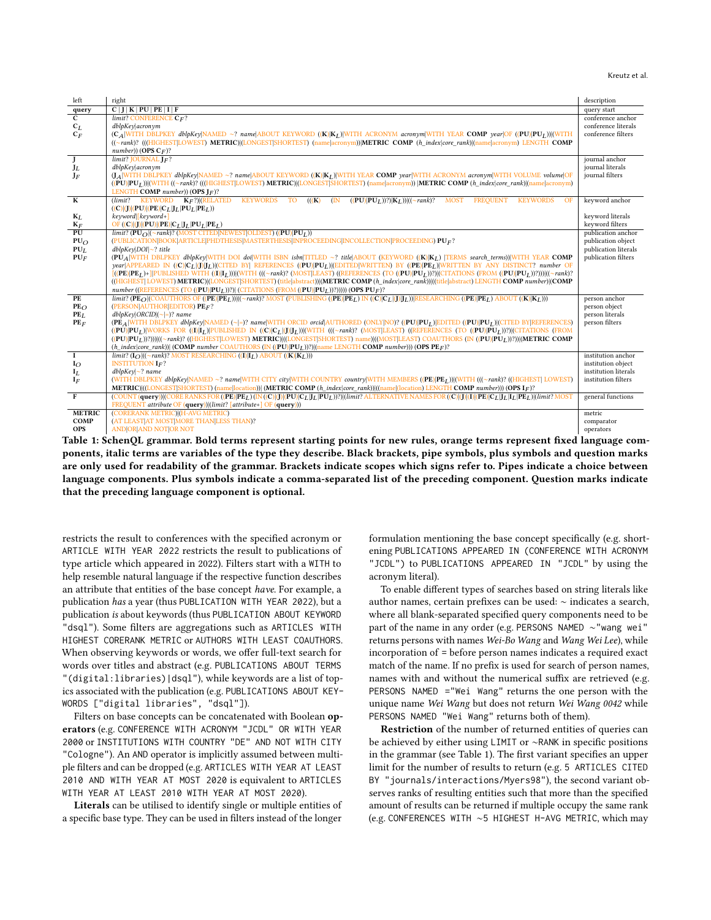#### Kreutz et al.

<span id="page-1-0"></span>

| left                                     | right                                                                                                                                                                                                                                                         | description                                |
|------------------------------------------|---------------------------------------------------------------------------------------------------------------------------------------------------------------------------------------------------------------------------------------------------------------|--------------------------------------------|
| query                                    | C J K PU PE I F                                                                                                                                                                                                                                               | query start                                |
| $\overline{c}$                           | $limit?$ CONFERENCE $C_F$ ?                                                                                                                                                                                                                                   | conference anchor                          |
| $c_L$                                    | dblpKey acronym                                                                                                                                                                                                                                               | conference literals                        |
| $C_F$                                    | (CA WITH DBLPKEY dblpKey NAMED ~? name ABOUT KEYWORD ((K) KL) WITH ACRONYM acronym WITH YEAR COMP year OF ((PU) PUL)) (WITH                                                                                                                                   | conference filters                         |
|                                          | ((~rank)? (((HIGHEST LOWEST) METRIC) (LONGEST SHORTEST) (name acronym)) METRIC COMP (h index core rank) (name acronym) LENGTH COMP                                                                                                                            |                                            |
|                                          | number)) (OPS $C_F$ )?                                                                                                                                                                                                                                        |                                            |
| $\overline{\frac{\text{J}}{\text{J}_L}}$ | $limit?$ <b>JOURNAL</b> $IF?$                                                                                                                                                                                                                                 | journal anchor                             |
|                                          | dblpKey acronym                                                                                                                                                                                                                                               | journal literals                           |
| $J_F$                                    | (LA WITH DBLPKEY dblpKey NAMED ~? name ABOUT KEYWORD ((K) KL) WITH YEAR COMP year WITH ACRONYM acronym WITH VOLUME volume OF                                                                                                                                  | iournal filters                            |
|                                          | ((PU) PU <sub>I</sub> )) (WITH ((~rank)? (((HIGHEST LOWEST) METRIC) (LONGEST SHORTEST) (name acronym))  METRIC COMP (h index core rank) (name acronym)                                                                                                        |                                            |
|                                          | LENGTH COMP number)) (OPS $\mathbf{I}_F$ )?                                                                                                                                                                                                                   |                                            |
| $\overline{\mathbf{K}}$                  | $(limit?$ KEYWORD $K_F$ ?)(RELATED<br><b>KEYWORDS</b><br><b>TO</b><br><b>KEYWORDS</b><br>$\sqrt{(\mathbf{K})}$<br>(N <sup>2</sup> )<br>$((PU) PU_I ))^?  K_I )  (~\sim$ rank)?<br>MOST FREQUENT<br>OF                                                         | keyword anchor                             |
|                                          | $((C) J  (PU)  (PE)   C_L   J_L   PU_L   PE_L))$                                                                                                                                                                                                              |                                            |
| $K_L$                                    | $keyword$ [ $keyword+$ ]                                                                                                                                                                                                                                      | keyword literals                           |
| ${\mathbf K}_F$<br>PU                    | OF $((C) (J) (PU) (PE) C_L J_L PU_L PE_L)$                                                                                                                                                                                                                    | keyword filters                            |
|                                          | $limit?$ ( $PU_O$ )( $\sim$ rank)? (MOST CITED)NEWEST (OLDEST) (( $PU$ )  $PU_I$ ))<br>(PUBLICATION BOOK ARTICLE PHDTHESIS MASTERTHESIS INPROCEEDING INCOLLECTION PROCEEDING) PUF?                                                                            | publication anchor                         |
| PUO<br>PU <sub>L</sub>                   | $dblpKey DOI \sim?$ title                                                                                                                                                                                                                                     | publication object<br>publication literals |
| PUF                                      | (PUA WITH DBLPKEY dblpKey WITH DOI doi WITH ISBN isbn TITLED ~? title ABOUT (KEYWORD ((K) KL)  TERMS search_terms)) WITH YEAR COMP                                                                                                                            | publication filters                        |
|                                          | year APPEARED IN $((C) C_L ()]J_L)(C$ ITED BY  REFERENCES $((PU) PU_L)(E$ DITED WRITTEN) BY $((PE) PE_L)(WRITTEN)$ BY ANY DISTINCT? number OF                                                                                                                 |                                            |
|                                          | $[((PE) PE_I)+[ PUBLISHED WITH ((I) I_I))] (WITH (((-rank)? (MOST LEAST)) (REFERENCES (TO ((PU) PU_I)))2) (CITATIONS (FROM ((PU) PU_I)))2)) (((-rank)?$                                                                                                       |                                            |
|                                          | ((HIGHEST  LOWEST) METRIC) (LONGEST SHORTEST) (title abstract)) (METRIC COMP (h_index core_rank)) ((title abstract) LENGTH COMP number) (COMP                                                                                                                 |                                            |
|                                          | number ((REFERENCES (TO ((PU) PU <sub>L</sub> ))?)  (CITATIONS (FROM ((PU) PU <sub>L</sub> ))?))))) (OPS PU <sub>F</sub> )?                                                                                                                                   |                                            |
| PE                                       | $limit?$ (PE <sub>O</sub> $ $ (COAUTHORS OF $($ (PE) $ PE_L$ $)$ )) $ $ ( $\sim$ rank)? MOST (PUBLISHING $($ (PE) $ PE_L$ $)$ IN $($ (C) $ C_L $ (J) $ I_L$ )) $ $ RESEARCHING $($ (PE) $ PE_L$ $)$ ABOUT $($ (K) $ K_L$ $)$ ))                               | person anchor                              |
| PE <sub>O</sub>                          | (PERSON AUTHOR EDITOR) $PE_F$ ?                                                                                                                                                                                                                               | person object                              |
| PE <sub>L</sub>                          | $dblpkey ORCID (- =)?$ name                                                                                                                                                                                                                                   | person literals                            |
| PEF                                      | (PEA WITH DBLPKEY dblpKey NAMED (~ =)? name WITH ORCID orcid AUTHORED (ONLY NO)? ((PU) PU <sub>L</sub> ) EDITED ((PU) PU <sub>L</sub> ) (CITED BY REFERENCES)                                                                                                 | person filters                             |
|                                          | $((PU)[PU_I])$ WORKS FOR $((I)[I_L)]$ PUBLISHED IN $((C)[C_L]([I])][WITH$ $(((\sim rank)?$ (MOST[LEAST) ((REFERENCES (TO $((PU)[PU_I])$ ?) (CITATIONS (FROM                                                                                                   |                                            |
|                                          | ((PU) PU <sub>L</sub> ))?))))(((~rank)? ((HIGHEST LOWEST) METRIC))((LONGEST SHORTEST) name)(((MOST LEAST) COAUTHORS (IN ((PU) PU <sub>L</sub> ))?)))((METRIC COMP                                                                                             |                                            |
|                                          | $(h\_index core\_rank )([COMP number COAUTHORS([IN((PU) PUL))) (name LENGTH COMP number)))(OPSPEF)$ ?                                                                                                                                                         |                                            |
| $\mathbf I$                              | $limit?$ ( $I_O$ )(( $\sim$ rank)? MOST RESEARCHING ((I)  $I_I$ ) ABOUT ((K)  $K_I$ )))                                                                                                                                                                       | institution anchor                         |
| $I_O$                                    | <b>INSTITUTION IF?</b>                                                                                                                                                                                                                                        | institution object                         |
| $\mathbf{I}_L$                           | $dblpkey \sim ?$ name                                                                                                                                                                                                                                         | institution literals                       |
| $I_F$                                    | (WITH DBLPKEY dblpKey NAMED ~? name WITH CITY city WITH COUNTRY country WITH MEMBERS ((PE) PEL)) (WITH (((~rank)? ((HIGHEST) LOWEST)                                                                                                                          | institution filters                        |
|                                          | METRIC) ((LONGEST SHORTEST) (name location))  (METRIC COMP (h_index core_rank)) ((name (location) LENGTH COMP number))) (OPS IF)?                                                                                                                             |                                            |
| F                                        | (COUNT (query)) (CORE RANKS FOR ((PE) PE <sub>L</sub> ) (IN ((C) (J) (PU) C <sub>L</sub>  J <sub>L</sub>  PU <sub>L</sub> ))?) (limit? ALTERNATIVE NAMES FOR ((C) (J) (I) (PE) C <sub>L</sub>  J <sub>L</sub>  L <sub>I</sub>  PE <sub>L</sub> ) (limit? MOST | general functions                          |
|                                          | FREQUENT attribute OF (query))(limit? [attribute+] OF (query)))                                                                                                                                                                                               |                                            |
| <b>METRIC</b>                            | (CORERANK METRIC) (H-AVG METRIC)                                                                                                                                                                                                                              | metric                                     |
| COMP                                     | (AT LEAST AT MOST MORE THAN LESS THAN)?                                                                                                                                                                                                                       | comparator                                 |
| <b>OPS</b>                               | <b>AND OR AND NOT OR NOT</b>                                                                                                                                                                                                                                  | operators                                  |

Table 1: SchenQL grammar. Bold terms represent starting points for new rules, orange terms represent fixed language components, italic terms are variables of the type they describe. Black brackets, pipe symbols, plus symbols and question marks are only used for readability of the grammar. Brackets indicate scopes which signs refer to. Pipes indicate a choice between language components. Plus symbols indicate a comma-separated list of the preceding component. Question marks indicate that the preceding language component is optional.

restricts the result to conferences with the specified acronym or ARTICLE WITH YEAR 2022 restricts the result to publications of type article which appeared in 2022). Filters start with a WITH to help resemble natural language if the respective function describes an attribute that entities of the base concept have. For example, a publication has a year (thus PUBLICATION WITH YEAR 2022), but a publication is about keywords (thus PUBLICATION ABOUT KEYWORD "dsql"). Some filters are aggregations such as ARTICLES WITH HIGHEST CORERANK METRIC or AUTHORS WITH LEAST COAUTHORS. When observing keywords or words, we offer full-text search for words over titles and abstract (e.g. PUBLICATIONS ABOUT TERMS "(digital:libraries)|dsql"), while keywords are a list of topics associated with the publication (e.g. PUBLICATIONS ABOUT KEY-WORDS ["digital libraries", "dsql"]).

Filters on base concepts can be concatenated with Boolean operators (e.g. CONFERENCE WITH ACRONYM "JCDL" OR WITH YEAR 2000 or INSTITUTIONS WITH COUNTRY "DE" AND NOT WITH CITY "Cologne"). An AND operator is implicitly assumed between multiple filters and can be dropped (e.g. ARTICLES WITH YEAR AT LEAST 2010 AND WITH YEAR AT MOST 2020 is equivalent to ARTICLES WITH YEAR AT LEAST 2010 WITH YEAR AT MOST 2020).

Literals can be utilised to identify single or multiple entities of a specific base type. They can be used in filters instead of the longer

formulation mentioning the base concept specifically (e.g. shortening PUBLICATIONS APPEARED IN (CONFERENCE WITH ACRONYM "JCDL") to PUBLICATIONS APPEARED IN "JCDL" by using the acronym literal).

To enable different types of searches based on string literals like author names, certain prefixes can be used: ∼ indicates a search, where all blank-separated specified query components need to be part of the name in any order (e.g. PERSONS NAMED ∼"wang wei" returns persons with names Wei-Bo Wang and Wang Wei Lee), while incorporation of = before person names indicates a required exact match of the name. If no prefix is used for search of person names, names with and without the numerical suffix are retrieved (e.g. PERSONS NAMED ="Wei Wang" returns the one person with the unique name Wei Wang but does not return Wei Wang 0042 while PERSONS NAMED "Wei Wang" returns both of them).

Restriction of the number of returned entities of queries can be achieved by either using LIMIT or ∼RANK in specific positions in the grammar (see Table [1\)](#page-1-0). The first variant specifies an upper limit for the number of results to return (e.g. 5 ARTICLES CITED BY "journals/interactions/Myers98"), the second variant observes ranks of resulting entities such that more than the specified amount of results can be returned if multiple occupy the same rank (e.g. CONFERENCES WITH ∼5 HIGHEST H-AVG METRIC, which may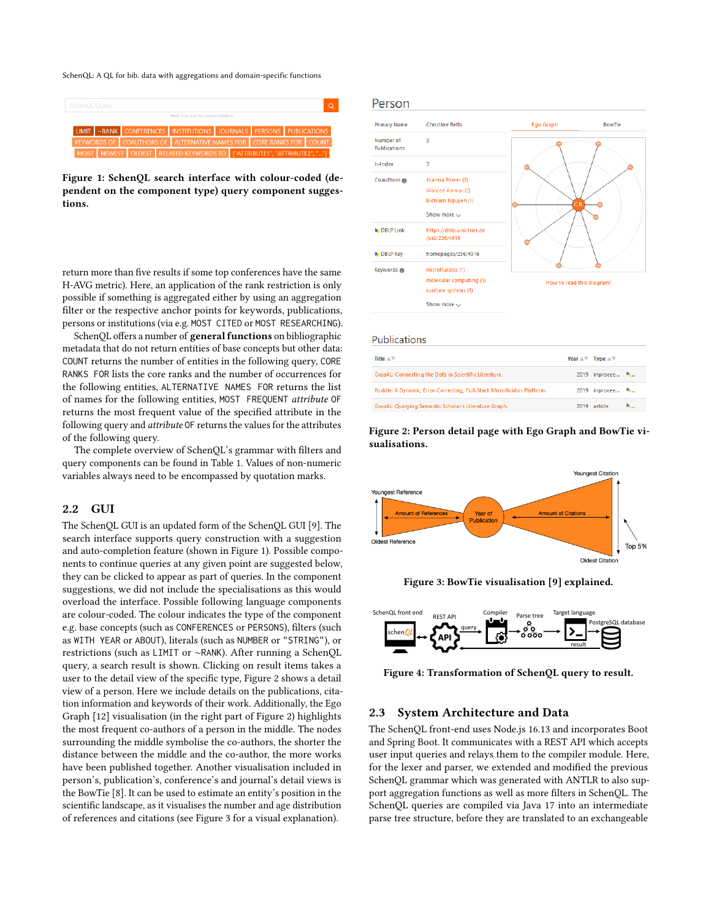SchenQL: A QL for bib. data with aggregations and domain-specific functions

<span id="page-2-0"></span>

Figure 1: SchenQL search interface with colour-coded (dependent on the component type) query component suggestions.

return more than five results if some top conferences have the same H-AVG metric). Here, an application of the rank restriction is only possible if something is aggregated either by using an aggregation filter or the respective anchor points for keywords, publications, persons or institutions (via e.g. MOST CITED or MOST RESEARCHING).

SchenQL offers a number of general functions on bibliographic metadata that do not return entities of base concepts but other data: COUNT returns the number of entities in the following query, CORE RANKS FOR lists the core ranks and the number of occurrences for the following entities, ALTERNATIVE NAMES FOR returns the list of names for the following entities, MOST FREQUENT attribute OF returns the most frequent value of the specified attribute in the following query and attribute OF returns the values for the attributes of the following query.

The complete overview of SchenQL's grammar with filters and query components can be found in Table [1.](#page-1-0) Values of non-numeric variables always need to be encompassed by quotation marks.

## 2.2 GUI

The SchenQL GUI is an updated form of the SchenQL GUI [\[9\]](#page-4-3). The search interface supports query construction with a suggestion and auto-completion feature (shown in Figure [1\)](#page-2-0). Possible components to continue queries at any given point are suggested below, they can be clicked to appear as part of queries. In the component suggestions, we did not include the specialisations as this would overload the interface. Possible following language components are colour-coded. The colour indicates the type of the component e.g. base concepts (such as CONFERENCES or PERSONS), filters (such as WITH YEAR or ABOUT), literals (such as NUMBER or "STRING"), or restrictions (such as LIMIT or ∼RANK). After running a SchenQL query, a search result is shown. Clicking on result items takes a user to the detail view of the specific type, Figure [2](#page-2-1) shows a detail view of a person. Here we include details on the publications, citation information and keywords of their work. Additionally, the Ego Graph [\[12\]](#page-4-5) visualisation (in the right part of Figure [2\)](#page-2-1) highlights the most frequent co-authors of a person in the middle. The nodes surrounding the middle symbolise the co-authors, the shorter the distance between the middle and the co-author, the more works have been published together. Another visualisation included in person's, publication's, conference's and journal's detail views is the BowTie [\[8\]](#page-4-6). It can be used to estimate an entity's position in the scientific landscape, as it visualises the number and age distribution of references and citations (see Figure [3](#page-2-2) for a visual explanation).

#### <span id="page-2-1"></span>Person



#### **Publications**

| Title $\Lambda$ $\nabla$                                                | Year $\mathbb{A}\mathbb{V}$ Type $\mathbb{A}\mathbb{V}$ |     |
|-------------------------------------------------------------------------|---------------------------------------------------------|-----|
| GrapAL: Connecting the Dots in Scientific Literature.                   | 2019 inprocee *                                         |     |
| Puddle: A Dynamic, Error-Correcting, Full-Stack Microfluidics Platform. | 2019 inprocee *                                         |     |
| GrapAL: Querying Semantic Scholar's Literature Graph.                   | 2019 article                                            | N., |



<span id="page-2-2"></span>

Figure 3: BowTie visualisation [\[9\]](#page-4-3) explained.

<span id="page-2-3"></span>

Figure 4: Transformation of SchenQL query to result.

#### 2.3 System Architecture and Data

The SchenQL front-end uses Node.js 16.13 and incorporates Boot and Spring Boot. It communicates with a REST API which accepts user input queries and relays them to the compiler module. Here, for the lexer and parser, we extended and modified the previous SchenQL grammar which was generated with ANTLR to also support aggregation functions as well as more filters in SchenQL. The SchenQL queries are compiled via Java 17 into an intermediate parse tree structure, before they are translated to an exchangeable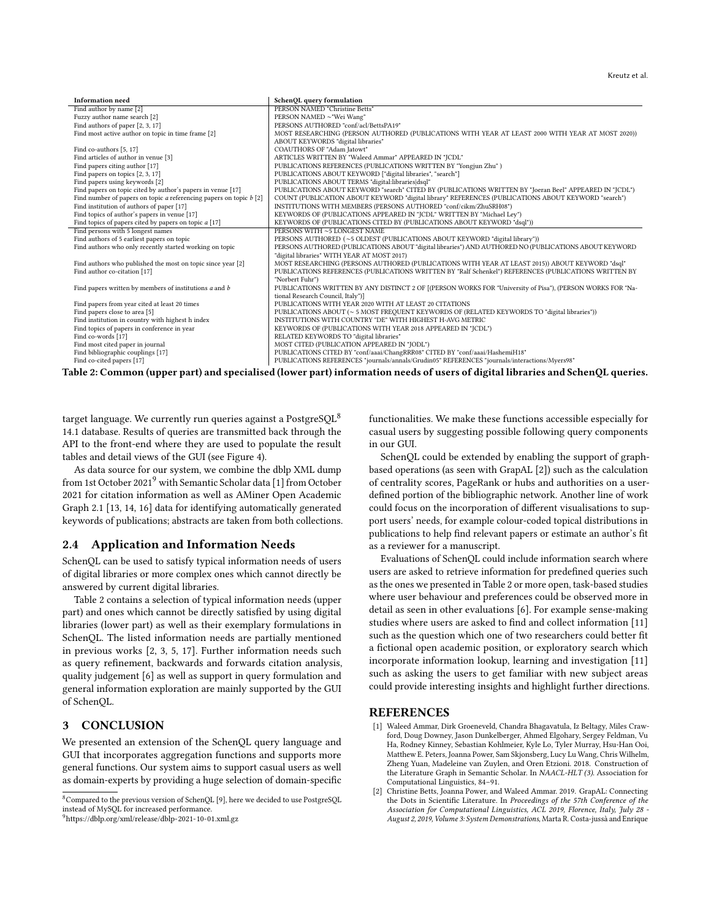<span id="page-3-4"></span>

| <b>Information</b> need                                                | SchenQL query formulation                                                                                                                                                                                        |
|------------------------------------------------------------------------|------------------------------------------------------------------------------------------------------------------------------------------------------------------------------------------------------------------|
| Find author by name [2]                                                | PERSON NAMED "Christine Betts"                                                                                                                                                                                   |
| Fuzzy author name search [2]                                           | PERSON NAMED ~"Wei Wang"                                                                                                                                                                                         |
| Find authors of paper [2, 3, 17]                                       | PERSONS AUTHORED "conf/acl/BettsPA19"                                                                                                                                                                            |
| Find most active author on topic in time frame [2]                     | MOST RESEARCHING (PERSON AUTHORED (PUBLICATIONS WITH YEAR AT LEAST 2000 WITH YEAR AT MOST 2020))                                                                                                                 |
|                                                                        | ABOUT KEYWORDS "digital libraries"                                                                                                                                                                               |
| Find co-authors [5, 17]                                                | COAUTHORS OF "Adam Jatowt"                                                                                                                                                                                       |
| Find articles of author in venue [3]                                   | ARTICLES WRITTEN BY "Waleed Ammar" APPEARED IN "JCDL"                                                                                                                                                            |
| Find papers citing author [17]                                         | PUBLICATIONS REFERENCES (PUBLICATIONS WRITTEN BY "Yongjun Zhu")                                                                                                                                                  |
| Find papers on topics [2, 3, 17]                                       | PUBLICATIONS ABOUT KEYWORD ["digital libraries", "search"]                                                                                                                                                       |
| Find papers using keywords [2]                                         | PUBLICATIONS ABOUT TERMS "digital:libraries dsql"                                                                                                                                                                |
| Find papers on topic cited by author's papers in venue [17]            | PUBLICATIONS ABOUT KEYWORD "search" CITED BY (PUBLICATIONS WRITTEN BY "Joeran Beel" APPEARED IN "JCDL")                                                                                                          |
| Find number of papers on topic $a$ referencing papers on topic $b$ [2] | COUNT (PUBLICATION ABOUT KEYWORD "digital library" REFERENCES (PUBLICATIONS ABOUT KEYWORD "search")                                                                                                              |
| Find institution of authors of paper [17]                              | INSTITUTIONS WITH MEMBERS (PERSONS AUTHORED "conf/cikm/ZhuSRH08")                                                                                                                                                |
| Find topics of author's papers in venue [17]                           | KEYWORDS OF (PUBLICATIONS APPEARED IN "JCDL" WRITTEN BY "Michael Ley")                                                                                                                                           |
| Find topics of papers cited by papers on topic $a$ [17]                | KEYWORDS OF (PUBLICATIONS CITED BY (PUBLICATIONS ABOUT KEYWORD "dsql"))                                                                                                                                          |
| Find persons with 5 longest names                                      | PERSONS WITH ~5 LONGEST NAME                                                                                                                                                                                     |
| Find authors of 5 earliest papers on topic                             | PERSONS AUTHORED (~5 OLDEST (PUBLICATIONS ABOUT KEYWORD "digital library"))                                                                                                                                      |
| Find authors who only recently started working on topic                | PERSONS AUTHORED (PUBLICATIONS ABOUT "digital libraries") AND AUTHORED NO (PUBLICATIONS ABOUT KEYWORD                                                                                                            |
|                                                                        | "digital libraries" WITH YEAR AT MOST 2017)                                                                                                                                                                      |
| Find authors who published the most on topic since year [2]            | MOST RESEARCHING (PERSONS AUTHORED (PUBLICATIONS WITH YEAR AT LEAST 2015)) ABOUT KEYWORD "dsql"                                                                                                                  |
| Find author co-citation [17]                                           | PUBLICATIONS REFERENCES (PUBLICATIONS WRITTEN BY "Ralf Schenkel") REFERENCES (PUBLICATIONS WRITTEN BY                                                                                                            |
|                                                                        | "Norbert Fuhr")                                                                                                                                                                                                  |
| Find papers written by members of institutions $a$ and $b$             | PUBLICATIONS WRITTEN BY ANY DISTINCT 2 OF [(PERSON WORKS FOR "University of Pisa"), (PERSON WORKS FOR "Na-                                                                                                       |
|                                                                        | tional Research Council, Italy")]                                                                                                                                                                                |
| Find papers from year cited at least 20 times                          | PUBLICATIONS WITH YEAR 2020 WITH AT LEAST 20 CITATIONS                                                                                                                                                           |
| Find papers close to area [5]                                          | PUBLICATIONS ABOUT (~ 5 MOST FREQUENT KEYWORDS OF (RELATED KEYWORDS TO "digital libraries"))                                                                                                                     |
| Find institution in country with highest h index                       | INSTITUTIONS WITH COUNTRY "DE" WITH HIGHEST H-AVG METRIC                                                                                                                                                         |
| Find topics of papers in conference in year                            | KEYWORDS OF (PUBLICATIONS WITH YEAR 2018 APPEARED IN "JCDL")                                                                                                                                                     |
| Find co-words [17]                                                     | RELATED KEYWORDS TO "digital libraries"                                                                                                                                                                          |
| Find most cited paper in journal                                       | MOST CITED (PUBLICATION APPEARED IN "JODL")                                                                                                                                                                      |
| Find bibliographic couplings [17]                                      | PUBLICATIONS CITED BY "conf/aaai/ChangRRR08" CITED BY "conf/aaai/HashemiH18"                                                                                                                                     |
| Find co-cited papers [17]                                              | PUBLICATIONS REFERENCES "journals/annals/Grudin05" REFERENCES "journals/interactions/Myers98"<br>the contract of the contract of the contract of the contract of the contract of the contract of the contract of |

Table 2: Common (upper part) and specialised (lower part) information needs of users of digital libraries and SchenQL queries.

target language. We currently run queries against a PostgreSQL<sup>[8](#page-3-1)</sup> 14.1 database. Results of queries are transmitted back through the API to the front-end where they are used to populate the result tables and detail views of the GUI (see Figure [4\)](#page-2-3).

As data source for our system, we combine the dblp XML dump from 1st October 2021<sup>[9](#page-3-2)</sup> with Semantic Scholar data [\[1\]](#page-3-3) from October 2021 for citation information as well as AMiner Open Academic Graph 2.1 [\[13,](#page-4-10) [14,](#page-4-11) [16\]](#page-4-12) data for identifying automatically generated keywords of publications; abstracts are taken from both collections.

#### 2.4 Application and Information Needs

SchenQL can be used to satisfy typical information needs of users of digital libraries or more complex ones which cannot directly be answered by current digital libraries.

Table [2](#page-3-4) contains a selection of typical information needs (upper part) and ones which cannot be directly satisfied by using digital libraries (lower part) as well as their exemplary formulations in SchenQL. The listed information needs are partially mentioned in previous works [\[2,](#page-3-0) [3,](#page-4-7) [5,](#page-4-9) [17\]](#page-4-8). Further information needs such as query refinement, backwards and forwards citation analysis, quality judgement [\[6\]](#page-4-13) as well as support in query formulation and general information exploration are mainly supported by the GUI of SchenQL.

# 3 CONCLUSION

We presented an extension of the SchenQL query language and GUI that incorporates aggregation functions and supports more general functions. Our system aims to support casual users as well as domain-experts by providing a huge selection of domain-specific

<span id="page-3-2"></span><sup>9</sup><https://dblp.org/xml/release/dblp-2021-10-01.xml.gz>

functionalities. We make these functions accessible especially for casual users by suggesting possible following query components in our GUI.

SchenQL could be extended by enabling the support of graphbased operations (as seen with GrapAL [\[2\]](#page-3-0)) such as the calculation of centrality scores, PageRank or hubs and authorities on a userdefined portion of the bibliographic network. Another line of work could focus on the incorporation of different visualisations to support users' needs, for example colour-coded topical distributions in publications to help find relevant papers or estimate an author's fit as a reviewer for a manuscript.

Evaluations of SchenQL could include information search where users are asked to retrieve information for predefined queries such as the ones we presented in Table [2](#page-3-4) or more open, task-based studies where user behaviour and preferences could be observed more in detail as seen in other evaluations [\[6\]](#page-4-13). For example sense-making studies where users are asked to find and collect information [\[11\]](#page-4-14) such as the question which one of two researchers could better fit a fictional open academic position, or exploratory search which incorporate information lookup, learning and investigation [\[11\]](#page-4-14) such as asking the users to get familiar with new subject areas could provide interesting insights and highlight further directions.

#### REFERENCES

- <span id="page-3-3"></span>[1] Waleed Ammar, Dirk Groeneveld, Chandra Bhagavatula, Iz Beltagy, Miles Crawford, Doug Downey, Jason Dunkelberger, Ahmed Elgohary, Sergey Feldman, Vu Ha, Rodney Kinney, Sebastian Kohlmeier, Kyle Lo, Tyler Murray, Hsu-Han Ooi, Matthew E. Peters, Joanna Power, Sam Skjonsberg, Lucy Lu Wang, Chris Wilhelm, Zheng Yuan, Madeleine van Zuylen, and Oren Etzioni. 2018. Construction of the Literature Graph in Semantic Scholar. In NAACL-HLT (3). Association for Computational Linguistics, 84–91.
- <span id="page-3-0"></span>[2] Christine Betts, Joanna Power, and Waleed Ammar. 2019. GrapAL: Connecting the Dots in Scientific Literature. In Proceedings of the 57th Conference of the Association for Computational Linguistics, ACL 2019, Florence, Italy, July 28 -August 2, 2019, Volume 3: System Demonstrations, Marta R. Costa-jussà and Enrique

<span id="page-3-1"></span><sup>8</sup>Compared to the previous version of SchenQL [\[9\]](#page-4-3), here we decided to use PostgreSQL instead of MySQL for increased performance.